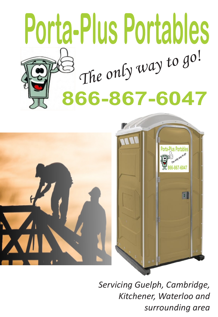## *The only way to go!* **866-867-6047 Porta-Plus Portables**



*Servicing Guelph, Cambridge, Kitchener, Waterloo and surrounding area*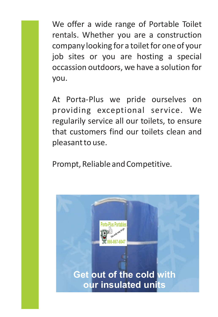We offer a wide range of Portable Toilet rentals. Whether you are a construction company looking for a toilet for one of your job sites or you are hosting a special occassion outdoors, we have a solution for you.

At Porta-Plus we pride ourselves on providing exceptional service. We regularily service all our toilets, to ensure that customers find our toilets clean and pleasant to use.

Prompt, Reliable and Competitive.

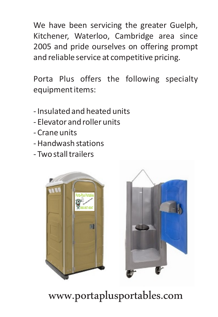We have been servicing the greater Guelph, Kitchener, Waterloo, Cambridge area since 2005 and pride ourselves on offering prompt and reliable service at competitive pricing.

Porta Plus offers the following specialty equipment items:

- Insulated and heated units
- Elevator and roller units
- Crane units
- Handwash stations
- Two stall trailers



## www.portaplusportables.com